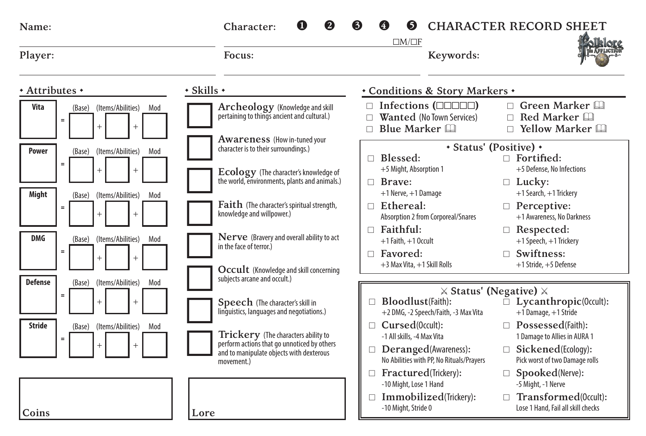| Name:                                                      | Character:                                                                                                    | <b>CHARACTER RECORD SHEET</b><br>6<br>$\Box M/\Box F$                                                                                                                |
|------------------------------------------------------------|---------------------------------------------------------------------------------------------------------------|----------------------------------------------------------------------------------------------------------------------------------------------------------------------|
| Player:                                                    | Focus:                                                                                                        | Keywords:                                                                                                                                                            |
| * Attributes *                                             | $\cdot$ Skills $\cdot$                                                                                        | * Conditions & Story Markers *                                                                                                                                       |
| Vita<br>(Items/Abilities)<br>(Base)<br>Mod<br>$\equiv$     | Archeology (Knowledge and skill<br>pertaining to things ancient and cultural.)                                | $\Box$ Infections ( $\Box$ $\Box$ $\Box$ )<br>$\Box$ Green Marker<br>Wanted (No Town Services)<br>Red Marker<br>п<br>П.<br>Blue Marker<br>$\Box$ Yellow Marker<br>П. |
| Power<br>(Items/Abilities)<br>Mod<br>(Base)<br>$=$         | Awareness (How in-tuned your<br>character is to their surroundings.)<br>Ecology (The character's knowledge of | • Status' (Positive) •<br>$\Box$ Fortified:<br>Blessed:<br>п.<br>+5 Might, Absorption 1<br>+5 Defense. No Infections                                                 |
| Might<br>(Items/Abilities)<br>(Base)<br>Mod                | the world, environments, plants and animals.)                                                                 | $\Box$ Brave:<br>$\Box$ Lucky:<br>+1 Search, +1 Trickery<br>$+1$ Nerve, $+1$ Damage                                                                                  |
| $\equiv$                                                   | Faith (The character's spiritual strength,<br>knowledge and willpower.)                                       | $\Box$ Ethereal:<br>$\Box$ Perceptive:<br>+1 Awareness, No Darkness<br>Absorption 2 from Corporeal/Snares                                                            |
| <b>DMG</b><br>(Items/Abilities)<br>Mod<br>(Base)           | Nerve (Bravery and overall ability to act<br>in the face of terror.)                                          | $\Box$ Faithful:<br>$\Box$ Respected:<br>+1 Speech, +1 Trickery<br>$+1$ Faith, $+1$ Occult                                                                           |
| $=$                                                        | Occult (Knowledge and skill concerning                                                                        | $\Box$ Swiftness:<br>Favored:<br>п.<br>+3 Max Vita, +1 Skill Rolls<br>$+1$ Stride, $+5$ Defense                                                                      |
| <b>Defense</b><br>(Items/Abilities)<br>(Base)<br>Mod       | subjects arcane and occult.)                                                                                  | $\times$ Status' (Negative) $\times$                                                                                                                                 |
| $\equiv$                                                   | Speech (The character's skill in<br>linquistics, languages and negotiations.)                                 | Bloodlust(Faith):<br>$\bar{\Box}$ Lycanthropic(0ccult):<br>$+1$ Damage, $+1$ Stride<br>+2 DMG, -2 Speech/Faith, -3 Max Vita                                          |
| <b>Stride</b><br>(Base)<br>(Items/Abilities)<br>Mod<br>$=$ | <b>Trickery</b> (The characters ability to                                                                    | $\Box$ Cursed(0ccult):<br>$\Box$ Possessed(Faith):<br>-1 All skills, -4 Max Vita<br>1 Damage to Allies in AURA 1                                                     |
|                                                            | perform actions that go unnoticed by others<br>and to manipulate objects with dexterous<br>movement.)         | $\Box$ Sickened(Ecology):<br>Deranged(Awareness):<br>п<br>No Abilities with PP, No Rituals/Prayers<br>Pick worst of two Damage rolls                                 |
|                                                            |                                                                                                               | Fractured(Trickery):<br>$\Box$ Spooked(Nerve):<br>$\Box$<br>-10 Might, Lose 1 Hand<br>-5 Might, -1 Nerve                                                             |
| Coins<br>Lore                                              |                                                                                                               | Immobilized(Trickery):<br>$\Box$ Transformed(0ccult):<br>$\Box$<br>-10 Might, Stride 0<br>Lose 1 Hand, Fail all skill checks                                         |